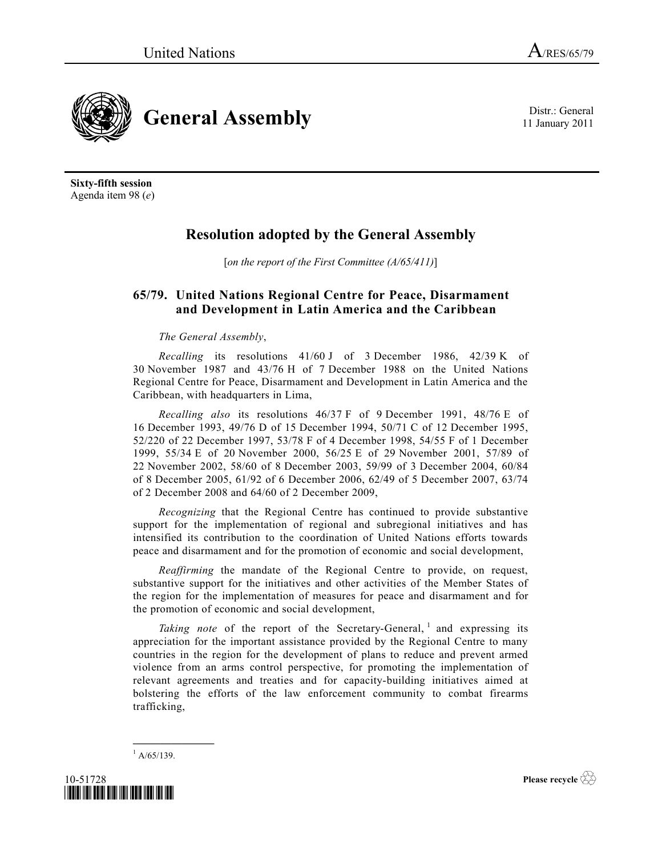**General Assembly** Distr.: General

**Sixty-fifth session** Agenda item 98 (*e*)

## **Resolution adopted by the General Assembly**

[*on the report of the First Committee (A/65/411)*]

## **65/79. United Nations Regional Centre for Peace, Disarmament and Development in Latin America and the Caribbean**

## *The General Assembly*,

*Recalling* its resolutions 41/60 J of 3 December 1986, 42/39 K of 30 November 1987 and 43/76 H of 7 December 1988 on the United Nations Regional Centre for Peace, Disarmament and Development in Latin America and the Caribbean, with headquarters in Lima,

*Recalling also* its resolutions 46/37 F of 9 December 1991, 48/76 E of 16 December 1993, 49/76 D of 15 December 1994, 50/71 C of 12 December 1995, 52/220 of 22 December 1997, 53/78 F of 4 December 1998, 54/55 F of 1 December 1999, 55/34 E of 20 November 2000, 56/25 E of 29 November 2001, 57/89 of 22 November 2002, 58/60 of 8 December 2003, 59/99 of 3 December 2004, 60/84 of 8 December 2005, 61/92 of 6 December 2006, 62/49 of 5 December 2007, 63/74 of 2 December 2008 and 64/60 of 2 December 2009,

*Recognizing* that the Regional Centre has continued to provide substantive support for the implementation of regional and subregional initiatives and has intensified its contribution to the coordination of United Nations efforts towards peace and disarmament and for the promotion of economic and social development,

*Reaffirming* the mandate of the Regional Centre to provide, on request, substantive support for the initiatives and other activities of the Member States of the region for the implementation of measures for peace and disarmament and for the promotion of economic and social development,

Taking note of the report of the Secretary-General, <sup>1</sup> and expressing its appreciation for the important assistance provided by the Regional Centre to many countries in the region for the development of plans to reduce and prevent armed violence from an arms control perspective, for promoting the implementation of relevant agreements and treaties and for capacity-building initiatives aimed at bolstering the efforts of the law enforcement community to combat firearms trafficking,

 $^{1}$  A/65/139.

**\_\_\_\_\_\_\_\_\_\_\_\_\_\_\_**



**Please recycle** 

11 January 2011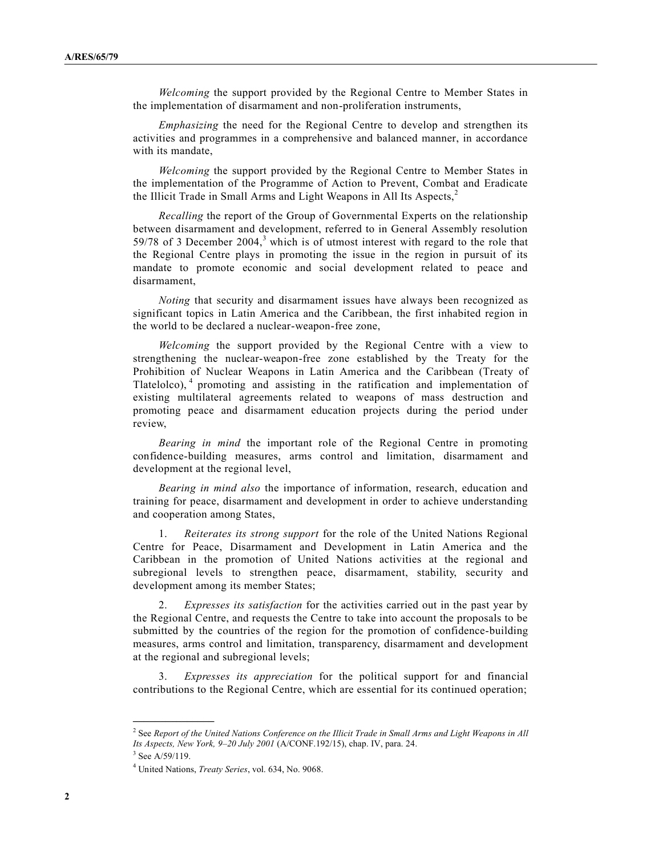*Welcoming* the support provided by the Regional Centre to Member States in the implementation of disarmament and non-proliferation instruments,

*Emphasizing* the need for the Regional Centre to develop and strengthen its activities and programmes in a comprehensive and balanced manner, in accordance with its mandate,

*Welcoming* the support provided by the Regional Centre to Member States in the implementation of the Programme of Action to Prevent, Combat and Eradicate the Illicit Trade in Small Arms and Light Weapons in All Its Aspects, $<sup>2</sup>$ </sup>

*Recalling* the report of the Group of Governmental Experts on the relationship between disarmament and development, referred to in General Assembly resolution 59/78 of 3 December 2004,<sup>3</sup> which is of utmost interest with regard to the role that the Regional Centre plays in promoting the issue in the region in pursuit of its mandate to promote economic and social development related to peace and disarmament,

*Noting* that security and disarmament issues have always been recognized as significant topics in Latin America and the Caribbean, the first inhabited region in the world to be declared a nuclear-weapon-free zone,

*Welcoming* the support provided by the Regional Centre with a view to strengthening the nuclear-weapon-free zone established by the Treaty for the Prohibition of Nuclear Weapons in Latin America and the Caribbean (Treaty of Tlatelolco),<sup>4</sup> promoting and assisting in the ratification and implementation of existing multilateral agreements related to weapons of mass destruction and promoting peace and disarmament education projects during the period under review,

*Bearing in mind* the important role of the Regional Centre in promoting confidence-building measures, arms control and limitation, disarmament and development at the regional level,

*Bearing in mind also* the importance of information, research, education and training for peace, disarmament and development in order to achieve understanding and cooperation among States,

1. *Reiterates its strong support* for the role of the United Nations Regional Centre for Peace, Disarmament and Development in Latin America and the Caribbean in the promotion of United Nations activities at the regional and subregional levels to strengthen peace, disarmament, stability, security and development among its member States;

2. *Expresses its satisfaction* for the activities carried out in the past year by the Regional Centre, and requests the Centre to take into account the proposals to be submitted by the countries of the region for the promotion of confidence-building measures, arms control and limitation, transparency, disarmament and development at the regional and subregional levels;

3. *Expresses its appreciation* for the political support for and financial contributions to the Regional Centre, which are essential for its continued operation;

**\_\_\_\_\_\_\_\_\_\_\_\_\_\_\_**

<sup>2</sup> See *Report of the United Nations Conference on the Illicit Trade in Small Arms and Light Weapons in All Its Aspects, New York, 9–20 July 2001* (A/CONF.192/15), chap. IV, para. 24.

 $3$  See A/59/119.

<sup>4</sup> United Nations, *Treaty Series*, vol. 634, No. 9068.